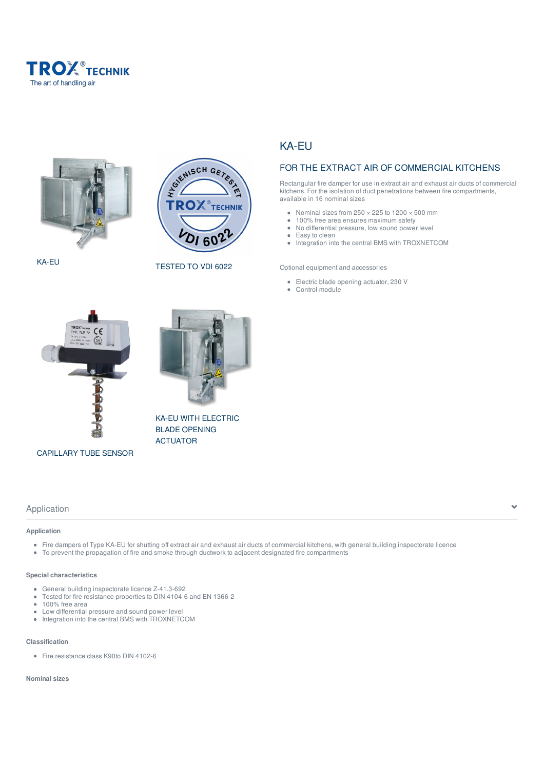



KA-EU



TESTED TO VDI 6022

KA-EU WITH ELECTRIC BLADE OPENING ACTUATOR

# KA-EU

# FOR THE EXTRACT AIR OF COMMERCIAL KITCHENS

Rectangular fire damper for use in extract air and exhaust air ducts of commercial kitchens. For the isolation of duct penetrations between fire compartments, available in 16 nominal sizes

- Nominal sizes from  $250 \times 225$  to  $1200 \times 500$  mm
- 100% free area ensures maximum safety  $\bullet$  $\bullet$ No differential pressure, low sound power level
- $\bullet$ Easy to clean
- $\bullet$ Integration into the central BMS with TROXNETCOM

Optional equipment and accessories

- Electric blade opening actuator, 230 V
- $\bullet$ Control module



CAPILLARY TUBE SENSOR

# Application  $\overline{\phantom{a}}$

**Application**

- Fire dampers of Type KA-EU for shutting off extract air and exhaust air ducts of commercial kitchens, with general building inspectorate licence
- To prevent the propagation of fire and smoke through ductwork to adjacent designated fire compartments

#### **Special characteristics**

- General building inspectorate licence Z-41.3-692
- $\bullet$ Tested for fire resistance properties to DIN 4104-6 and EN 1366-2
- $\bullet$ 100% free area
- $\ddot{\phantom{a}}$ Low differential pressure and sound power level
- Integration into the central BMS with TROXNETCOM

#### **Classification**

• Fire resistance class K90to DIN 4102-6

#### **Nominal sizes**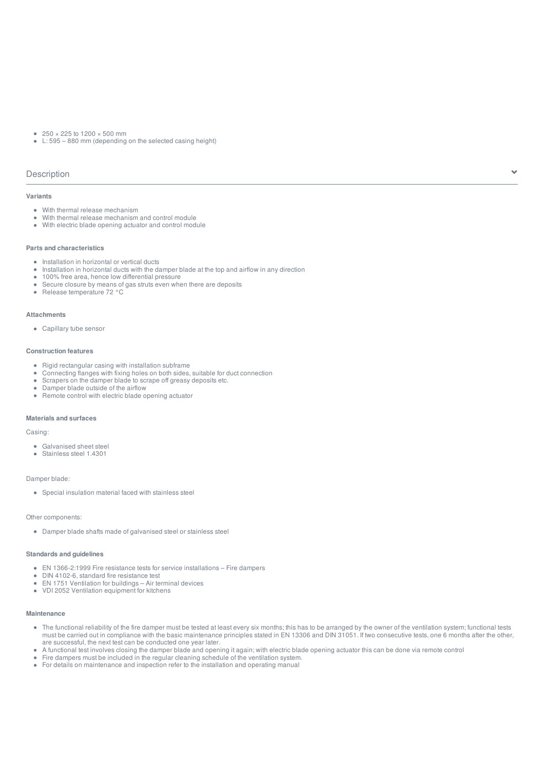- $\bullet$  250  $\times$  225 to 1200  $\times$  500 mm
- L: 595 880 mm (depending on the selected casing height)

#### Description

#### **Variants**

- With thermal release mechanism
- With thermal release mechanism and control module
- With electric blade opening actuator and control module

#### **Parts and characteristics**

- Installation in horizontal or vertical ducts
- Installation in horizontal ducts with the damper blade at the top and airflow in any direction
- 100% free area, hence low differential pressure
- Secure closure by means of gas struts even when there are deposits
- Release temperature 72 °C

#### **Attachments**

Capillary tube sensor

#### **Construction features**

- Rigid rectangular casing with installation subframe
- Connecting flanges with fixing holes on both sides, suitable for duct connection
- Scrapers on the damper blade to scrape off greasy deposits etc.
- Damper blade outside of the airflow • Remote control with electric blade opening actuator

#### **Materials and surfaces**

Casing:

- Galvanised sheet steel
- Stainless steel 1.4301

#### Damper blade:

Special insulation material faced with stainless steel

#### Other components:

Damper blade shafts made of galvanised steel or stainless steel

#### **Standards and guidelines**

- EN 1366-2:1999 Fire resistance tests for service installations Fire dampers
- DIN 4102-6, standard fire resistance test
- EN 1751 Ventilation for buildings Air terminal devices
- VDI 2052 Ventilation equipment for kitchens

### **Maintenance**

- The functional reliability of the fire damper must be tested at least every six months; this has to be arranged by the owner of the ventilation system; functional tests must be carried out in compliance with the basic maintenance principles stated in EN 13306 and DIN 31051. If two consecutive tests, one 6 months after the other, are successful, the next test can be conducted one year later.
- A functional test involves closing the damper blade and opening it again; with electric blade opening actuator this can be done via remote control
- Fire dampers must be included in the regular cleaning schedule of the ventilation system.
- For details on maintenance and inspection refer to the installation and operating manual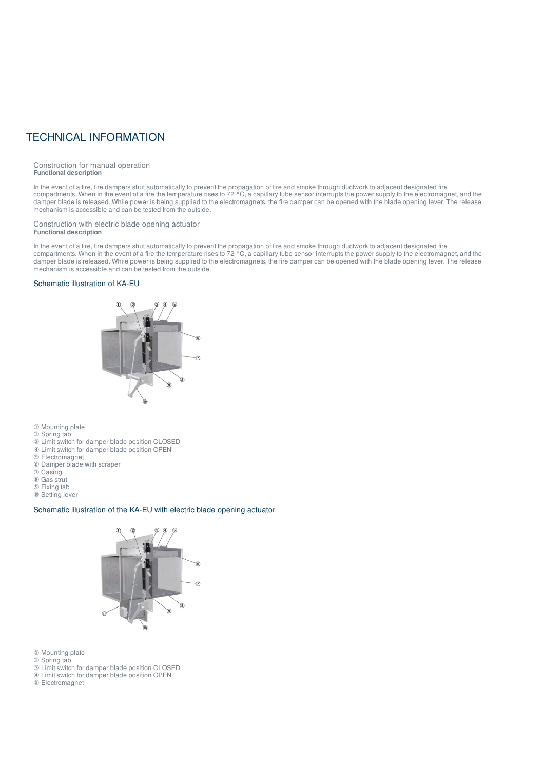# TECHNICAL INFORMATION

Construction for manual operation **Functional description**

In the event of a fire, fire dampers shut automatically to prevent the propagation of fire and smoke through ductwork to adjacent designated fire compartments. When in the event of a fire the temperature rises to 72 °C, a capillary tube sensor interrupts the power supply to the electromagnet, and the damper blade is released. While power is being supplied to the electromagnets, the fire damper can be opened with the blade opening lever. The release mechanism is accessible and can be tested from the outside.

#### Construction with electric blade opening actuator **Functional description**

In the event of a fire, fire dampers shut automatically to prevent the propagation of fire and smoke through ductwork to adjacent designated fire compartments. When in the event of a fire the temperature rises to 72 °C, a capillary tube sensor interrupts the power supply to the electromagnet, and the damper blade is released. While power is being supplied to the electromagnets, the fire damper can be opened with the blade opening lever. The release mechanism is accessible and can be tested from the outside.

#### Schematic illustration of KA-EU



① Mounting plate

- ② Spring tab
- ③ Limit switch for damper blade position CLOSED
- ④ Limit switch for damper blade position OPEN ⑤ Electromagnet
- ⑥ Damper blade with scraper
- ⑦ Casing
- ⑧ Gas strut
- ⑨ Fixing tab
- ⑩ Setting lever

#### Schematic illustration of the KA-EU with electric blade opening actuator



- ① Mounting plate
- ② Spring tab
- ③ Limit switch for damper blade position CLOSED
- ④ Limit switch for damper blade position OPEN
- ⑤ Electromagnet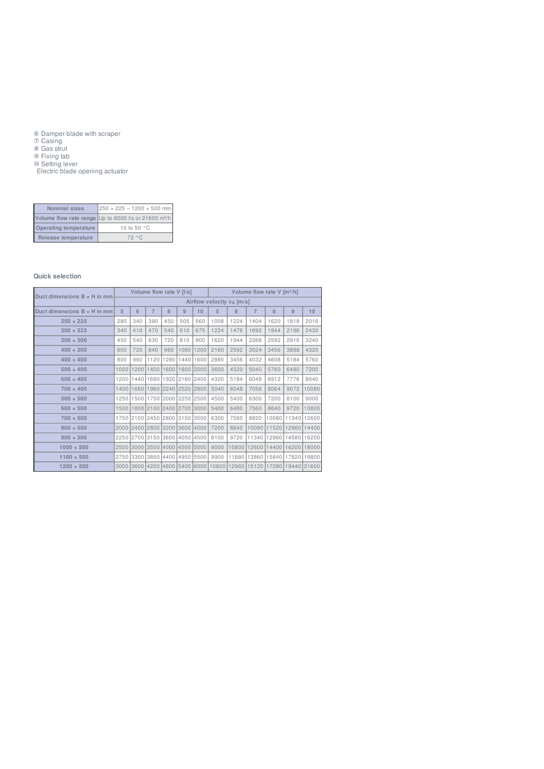Damper blade with scraper

Casing

Gas strut

 Fixing tab Setting lever

Electric blade opening actuator

| <b>Nominal sizes</b>         | $250 \times 225 - 1200 \times 500$ mm                            |  |  |  |  |  |  |
|------------------------------|------------------------------------------------------------------|--|--|--|--|--|--|
|                              | Volume flow rate range Up to 6000 l/s or 21600 m <sup>3</sup> /h |  |  |  |  |  |  |
| <b>Operating temperature</b> | 10 to 50 °C                                                      |  |  |  |  |  |  |
| Release temperature          | 72 °C                                                            |  |  |  |  |  |  |

#### **Quick selection**

|                             | Volume flow rate V [I/s]              |                               |     |                          |     |           | Volume flow rate V [m3/h] |       |                |                                                                   |       |             |
|-----------------------------|---------------------------------------|-------------------------------|-----|--------------------------|-----|-----------|---------------------------|-------|----------------|-------------------------------------------------------------------|-------|-------------|
| Duct dimensions B x H in mm | Airflow velocity v <sub>A</sub> [m/s] |                               |     |                          |     |           |                           |       |                |                                                                   |       |             |
| Duct dimensions B x H in mm | 5                                     | 6                             | 7   | 8                        | 9   | 10        | 5                         | 6     | $\overline{7}$ | 8                                                                 | 9     | 10          |
| $250 \times 225$            | 280                                   | 340                           | 390 | 450                      | 505 | 560       | 1008                      | 1224  | 1404           | 1620                                                              | 1818  | 2016        |
| $300 \times 225$            | 340                                   | 410                           | 470 | 540                      | 610 | 675       | 1224                      | 1476  | 1692           | 1944                                                              | 2196  | 2430        |
| $300 \times 300$            | 450                                   | 540                           | 630 | 720                      | 810 | 900       | 1620                      | 1944  | 2268           | 2592                                                              | 2916  | 3240        |
| $400 \times 300$            | 600                                   | 720                           | 840 | 960                      |     | 1080 1200 | 2160                      | 2592  | 3024           | 3456                                                              | 3888  | 4320        |
| $400 \times 400$            | 800                                   | 960                           |     | 1120 1280 1440 1600      |     |           | 2880                      | 3456  | 4032           | 4608                                                              | 5184  | 5760        |
| $500 \times 400$            | 1000                                  |                               |     | 1200 1400 1600 1800 2000 |     |           | 3600                      | 4320  | 5040           | 5760                                                              | 6480  | 7200        |
| $600 \times 400$            | 1200                                  |                               |     | 1440 1680 1920 2160 2400 |     |           | 4320                      | 5184  | 6048           | 6912                                                              | 7776  | 8640        |
| $700 \times 400$            | 1400                                  | 1680                          |     | 1960 2240 2520 2800      |     |           | 5040                      | 6048  | 7056           | 8064                                                              | 9072  | 10080       |
| $500 * 500$                 | 1250                                  |                               |     | 1500 1750 2000 2250 2500 |     |           | 4500                      | 5400  | 6300           | 7200                                                              | 8100  | 9000        |
| $600 * 500$                 | 1500                                  |                               |     | 1800 2100 2400 2700 3000 |     |           | 5400                      | 6480  | 7560           | 8640                                                              | 9720  | 10800       |
| $700 * 500$                 |                                       | 1750 2100 2450 2800 3150 3500 |     |                          |     |           | 6300                      | 7560  | 8820           | 10080                                                             | 11340 | 12600       |
| $800 * 500$                 |                                       | 2000 2400 2800 3200 3600 4000 |     |                          |     |           | 7200                      | 8640  | 10080          | 11520                                                             |       | 12960 14400 |
| $900 * 500$                 |                                       | 2250 2700 3150 3600 4050 4500 |     |                          |     |           | 8100                      | 9720  | 11340          | 12960                                                             |       | 14580 16200 |
| $1000 \times 500$           |                                       | 2500 3000 3500 4000 4500 5000 |     |                          |     |           | 9000                      | 10800 | 12600          | 14400                                                             |       | 16200 18000 |
| $1100 \times 500$           |                                       | 2750 3300 3850 4400 4950 5500 |     |                          |     |           | 9900                      |       | 11880 13860    | 15840                                                             |       | 17820 19800 |
| $1200 \times 500$           |                                       |                               |     |                          |     |           |                           |       |                | 3000 3600 4200 4800 5400 6000 10800 12960 15120 17280 19440 21600 |       |             |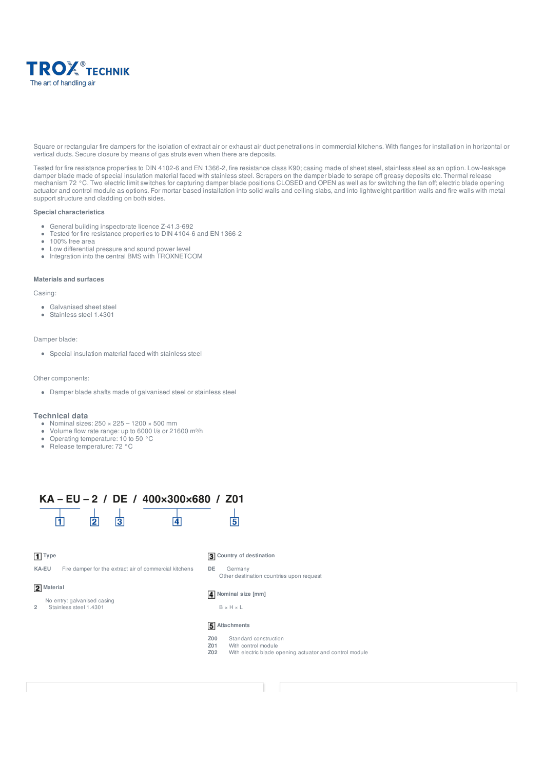

Square or rectangular fire dampers for the isolation of extract air or exhaust air duct penetrations in commercial kitchens. With flanges for installation in horizontal or vertical ducts. Secure closure by means of gas struts even when there are deposits.

Tested for fire resistance properties to DIN 4102-6 and EN 1366-2, fire resistance class K90; casing made of sheet steel, stainless steel as an option. Low-leakage damper blade made of special insulation material faced with stainless steel. Scrapers on the damper blade to scrape off greasy deposits etc. Thermal release mechanism 72 °C. Two electric limit switches for capturing damper blade positions CLOSED and OPEN as well as for switching the fan off; electric blade opening actuator and control module as options. For mortar-based installation into solid walls and ceiling slabs, and into lightweight partition walls and fire walls with metal support structure and cladding on both sides.

#### **Special characteristics**

- General building inspectorate licence Z-41.3-692
- Tested for fire resistance properties to DIN 4104-6 and EN 1366-2  $\bullet$
- 100% free area  $\bullet$
- Low differential pressure and sound power level  $\bullet$
- Integration into the central BMS with TROXNETCOM

#### **Materials and surfaces**

#### Casing:

- Galvanised sheet steel
- Stainless steel 1.4301

#### Damper blade:

Special insulation material faced with stainless steel

#### Other components:

Damper blade shafts made of galvanised steel or stainless steel

#### **Technical data**

- Nominal sizes: 250 × 225 1200 × 500 mm
- Volume flow rate range: up to 6000 l/s or 21600 m³/h
- Operating temperature: 10 to 50 °C
- Release temperature: 72 °C



#### **Type**

**KA-EU** Fire damper for the extract air of commercial kitchens

#### **3** Country of destination

**DE** Germany Other destination countries upon request

#### **2** Material

No entry: galvanised casing

**2** Stainless steel 1.4301

#### **Nominal size [mm]**

B × H × L

#### **5** Attachments

- 
- **Z00** Standard construction<br>**Z01** With control module **Z01** With control module<br>**Z02** With electric blade c
- With electric blade opening actuator and control module